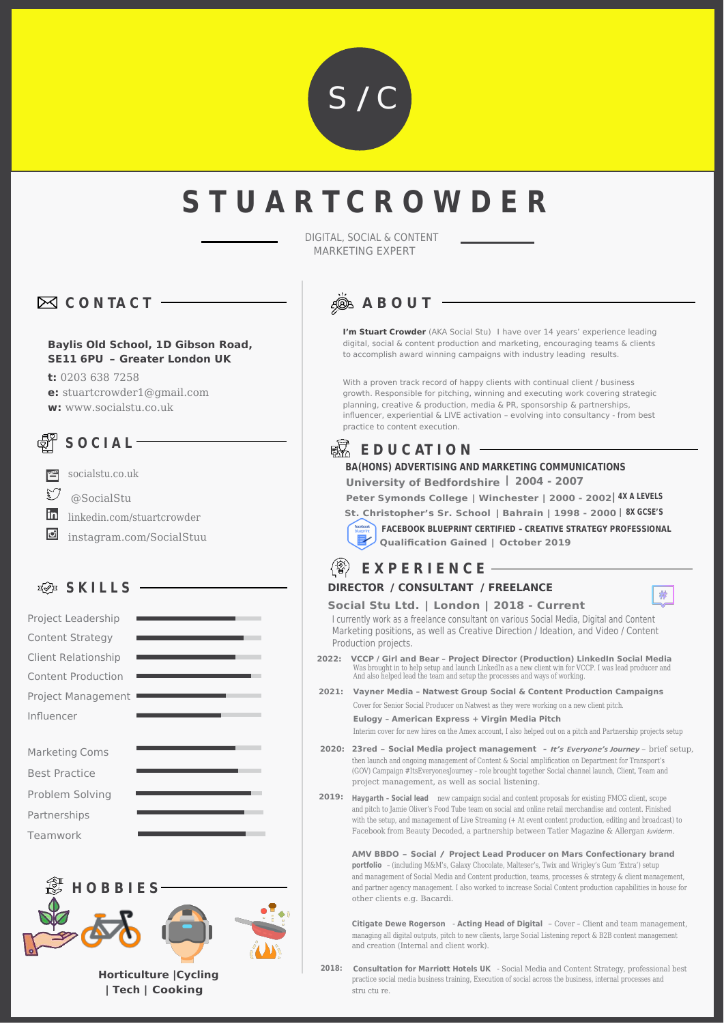

# **S T U A R T C R O W D E R**

DIGITAL, SOCIAL & CONTENT MARKETING EXPERT

## **C O N TA C T**

#### **Baylis Old School, 1D Gibson Road, SE11 6PU – Greater London UK**

**t:** 0203 638 7258

**e:** stuartcrowder1@gmail.com

**w:** www.socialstu.co.uk

## **S O C I A L**



@SocialStu

linkedin.com/stuartcrowder

**D** instagram.com/SocialStuu

### **SKILLS** -





## **A B O U T**

**I'm Stuart Crowder** (AKA Social Stu) I have over 14 years' experience leading digital, social & content production and marketing, encouraging teams & clients to accomplish award winning campaigns with industry leading results.

With a proven track record of happy clients with continual client / business growth. Responsible for pitching, winning and executing work covering strategic planning, creative & production, media & PR, sponsorship & partnerships, influencer, experiential & LIVE activation – evolving into consultancy - from best practice to content execution.

#### 噄 **E D U C AT I O N**

### **BA(HONS) ADVERTISING AND MARKETING COMMUNICATIONS**

**University of Bedfordshire | 2004 - 2007**

**Peter Symonds College | Winchester | 2000 - 2002 4X A LEVELS | St. Christopher's Sr. School | Bahrain | 1998 - 2000 8X GCSE'S |** 

**FACEBOOK BLUEPRINT CERTIFIED – CREATIVE STRATEGY PROFESSIONAL Qualification Gained | October 2019**

带

#### $\langle \mathcal{D} \rangle$ **E X P E R I E N C E**

#### **DIRECTOR / CONSULTANT / FREELANCE**

**Social Stu Ltd. | London | 2018 - Current**

I currently work as a freelance consultant on various Social Media, Digital and Content Marketing positions, as well as Creative Direction / Ideation, and Video / Content Production projects.

- **2022: VCCP / Girl and Bear Project Director (Production) LinkedIn Social Media**  Was brought in to help setup and launch LinkedIn as a new client win for VCCP. I was lead producer and And also helped lead the team and setup the processes and ways of working.
- **2021: Vayner Media Natwest Group Social & Content Production Campaigns**  Cover for Senior Social Producer on Natwest as they were working on a new client pitch.

**Eulogy – American Express + Virgin Media Pitch** 

Interim cover for new hires on the Amex account, I also helped out on a pitch and Partnership projects setup

- **2020: 23red – Social Media project management** *It's Everyone's Journey*  brief setup, then launch and ongoing management of Content & Social amplification on Department for Transport's (GOV) Campaign #ItsEveryonesJourney – role brought together Social channel launch, Client, Team and project management, as well as social listening.
- **2019: Haygarth Social lead** new campaign social and content proposals for existing FMCG client, scope and pitch to Jamie Oliver's Food Tube team on social and online retail merchandise and content. Finished with the setup, and management of Live Streaming (+ At event content production, editing and broadcast) to Facebook from Beauty Decoded, a partnership between Tatler Magazine & Allergan *Juviderm*.

**AMV BBDO – Social / Project Lead Producer on Mars Confectionary brand portfolio** – (including M&M's, Galaxy Chocolate, Malteser's, Twix and Wrigley's Gum 'Extra') setup and management of Social Media and Content production, teams, processes & strategy & client management, and partner agency management. I also worked to increase Social Content production capabilities in house for other clients e.g. Bacardi.

**Citigate Dewe Rogerson** - **Acting Head of Digital** – Cover – Client and team management, managing all digital outputs, pitch to new clients, large Social Listening report & B2B content management and creation (Internal and client work).

2018: **Consultation for Marriott Hotels UK** - Social Media and Content Strategy, professional best practice social media business training, Execution of social across the business, internal processes and stru ctu re.